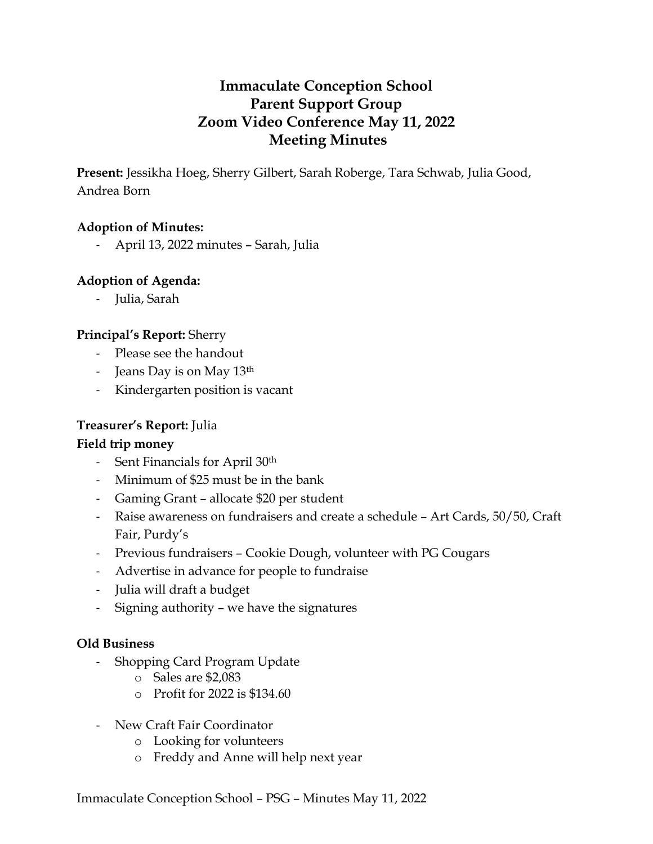# **Immaculate Conception School Parent Support Group Zoom Video Conference May 11, 2022 Meeting Minutes**

**Present:** Jessikha Hoeg, Sherry Gilbert, Sarah Roberge, Tara Schwab, Julia Good, Andrea Born

#### **Adoption of Minutes:**

- April 13, 2022 minutes – Sarah, Julia

#### **Adoption of Agenda:**

- Julia, Sarah

#### **Principal's Report:** Sherry

- Please see the handout
- Jeans Day is on May 13<sup>th</sup>
- Kindergarten position is vacant

#### **Treasurer's Report:** Julia

#### **Field trip money**

- Sent Financials for April 30<sup>th</sup>
- Minimum of \$25 must be in the bank
- Gaming Grant allocate \$20 per student
- Raise awareness on fundraisers and create a schedule Art Cards, 50/50, Craft Fair, Purdy's
- Previous fundraisers Cookie Dough, volunteer with PG Cougars
- Advertise in advance for people to fundraise
- Julia will draft a budget
- Signing authority we have the signatures

#### **Old Business**

- Shopping Card Program Update
	- o Sales are \$2,083
	- o Profit for 2022 is \$134.60
- New Craft Fair Coordinator
	- o Looking for volunteers
	- o Freddy and Anne will help next year

Immaculate Conception School – PSG – Minutes May 11, 2022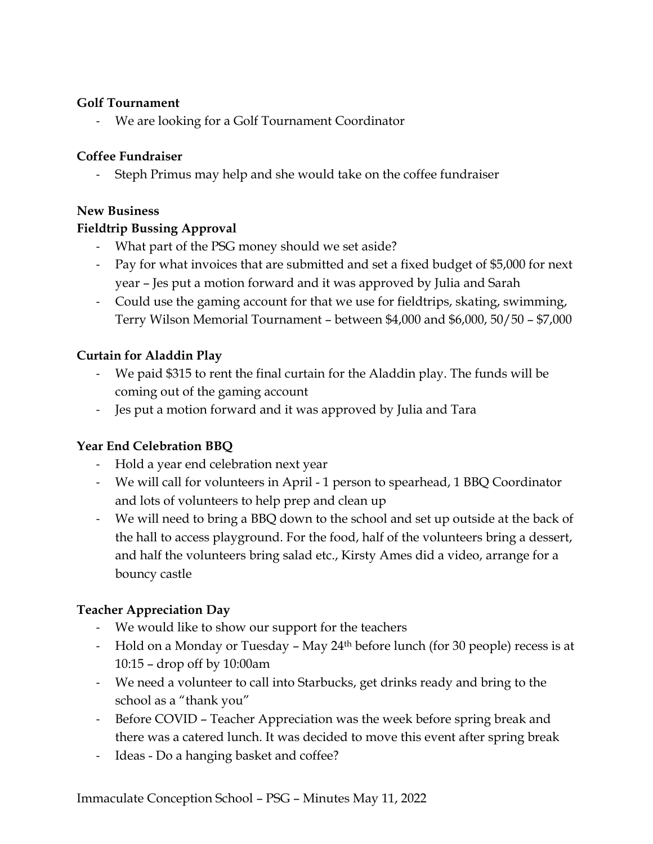### **Golf Tournament**

- We are looking for a Golf Tournament Coordinator

## **Coffee Fundraiser**

Steph Primus may help and she would take on the coffee fundraiser

## **New Business**

## **Fieldtrip Bussing Approval**

- What part of the PSG money should we set aside?
- Pay for what invoices that are submitted and set a fixed budget of \$5,000 for next year – Jes put a motion forward and it was approved by Julia and Sarah
- Could use the gaming account for that we use for fieldtrips, skating, swimming, Terry Wilson Memorial Tournament – between \$4,000 and \$6,000, 50/50 – \$7,000

## **Curtain for Aladdin Play**

- We paid \$315 to rent the final curtain for the Aladdin play. The funds will be coming out of the gaming account
- Jes put a motion forward and it was approved by Julia and Tara

# **Year End Celebration BBQ**

- Hold a year end celebration next year
- We will call for volunteers in April 1 person to spearhead, 1 BBQ Coordinator and lots of volunteers to help prep and clean up
- We will need to bring a BBQ down to the school and set up outside at the back of the hall to access playground. For the food, half of the volunteers bring a dessert, and half the volunteers bring salad etc., Kirsty Ames did a video, arrange for a bouncy castle

# **Teacher Appreciation Day**

- We would like to show our support for the teachers
- Hold on a Monday or Tuesday May 24<sup>th</sup> before lunch (for 30 people) recess is at 10:15 – drop off by 10:00am
- We need a volunteer to call into Starbucks, get drinks ready and bring to the school as a "thank you"
- Before COVID Teacher Appreciation was the week before spring break and there was a catered lunch. It was decided to move this event after spring break
- Ideas Do a hanging basket and coffee?